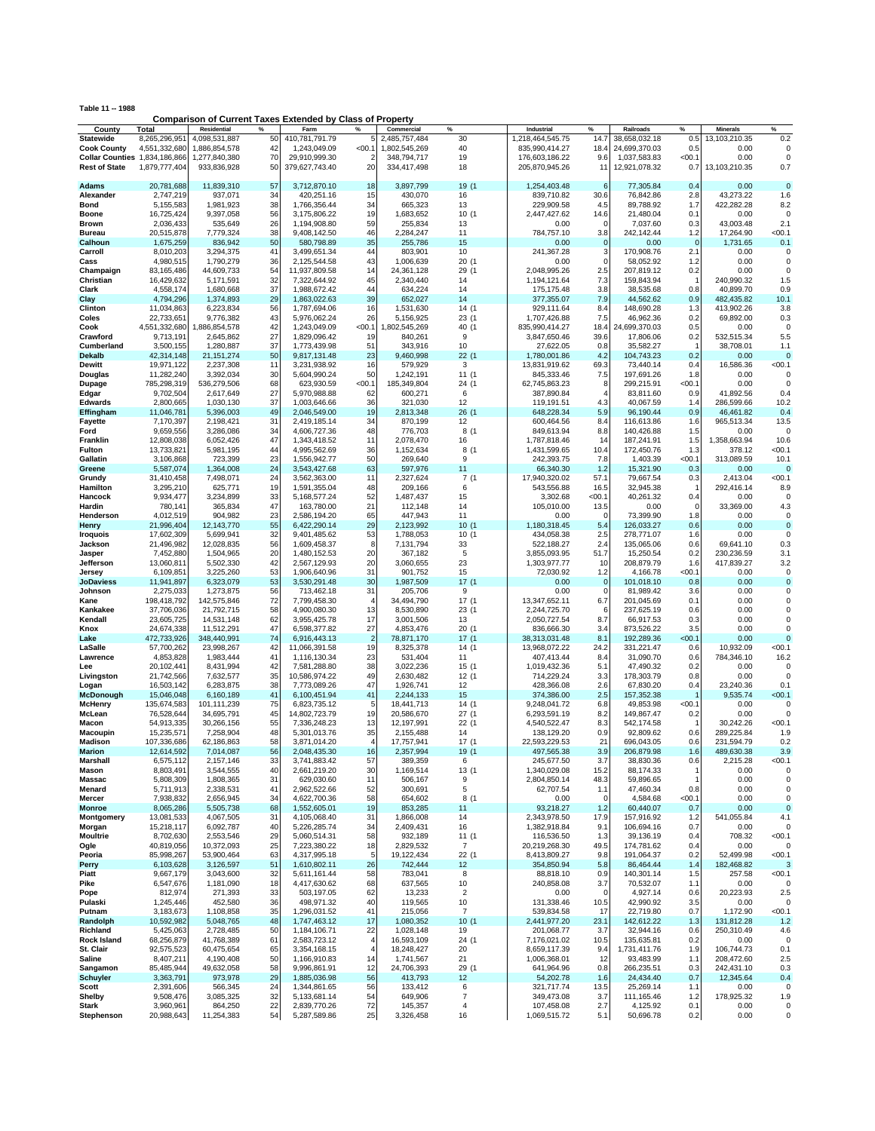| Table 11 -- 1988<br><b>Comparison of Current Taxes Extended by Class of Property</b> |                           |                           |          |                               |                |                         |                         |                               |                |                          |              |                          |                     |
|--------------------------------------------------------------------------------------|---------------------------|---------------------------|----------|-------------------------------|----------------|-------------------------|-------------------------|-------------------------------|----------------|--------------------------|--------------|--------------------------|---------------------|
| County                                                                               | Total                     | Residential               | %        | Farm                          | $\frac{9}{6}$  | Commercial              | $\%$                    | Industrial                    | %              | Railroads                | %            | <b>Minerals</b>          | %                   |
| <b>Statewide</b>                                                                     | 8,265,296,951             | 4,098,531,887             | 50       | 410,781,791.79                |                | 2,485,757,484           | 30                      | 1,218,464,545.75              | 14.7           | 38,658,032.18            | 0.5          | 13,103,210.35            | 0.2                 |
| <b>Cook County</b>                                                                   | 4.551.332.680             | 1,886,854,578             | 42       | 1,243,049.09                  | < 00.1         | 1,802,545,269           | 40                      | 835,990,414.27                | 18.4           | 24.699.370.03            | 0.5          | 0.00                     | $\Omega$            |
| <b>Collar Counties</b> 1,834,186,866                                                 |                           | 1,277,840,380             | 70       | 29,910,999.30                 | 2              | 348.794.717             | 19                      | 176,603,186.22                | 9.6            | 1,037,583.83             | < 00.1       | 0.00                     | $\Omega$            |
| <b>Rest of State</b>                                                                 | 1,879,777,404             | 933,836,928               | 50       | 379,627,743.40                | 20             | 334,417,498             | 18                      | 205,870,945.26                | 11             | 12,921,078.32            | 0.7          | 13,103,210.35            | 0.7                 |
|                                                                                      |                           |                           |          |                               |                |                         |                         |                               |                |                          |              |                          |                     |
| Adams                                                                                | 20,781,688                | 11,839,310                | 57       | 3,712,870.10                  | 18             | 3,897,799               | 19 (1                   | 1,254,403.48                  | 6              | 77,305.84                | 0.4          | 0.00                     | $\mathbf 0$         |
| Alexander                                                                            | 2,747,219<br>5,155,583    | 937,071<br>1,981,923      | 34<br>38 | 420,251.16<br>1,766,356.44    | 15<br>34       | 430,070<br>665,323      | 16<br>13                | 839.710.82<br>229,909.58      | 30.6<br>4.5    | 76,842.86<br>89,788.92   | 2.8<br>1.7   | 43,273.22<br>422,282.28  | 1.6<br>8.2          |
| Bond<br>Boone                                                                        | 16,725,424                | 9,397,058                 | 56       | 3,175,806.22                  | 19             | 1,683,652               | 10(1)                   | 2,447,427.62                  | 14.6           | 21,480.04                | 0.1          | 0.00                     | 0                   |
| <b>Brown</b>                                                                         | 2,036,433                 | 535,649                   | 26       | 1,194,908.80                  | 59             | 255,834                 | 13                      | 0.00                          | $\Omega$       | 7,037.60                 | 0.3          | 43,003.48                | 2.1                 |
| Bureau                                                                               | 20,515,878                | 7,779,324                 | 38       | 9,408,142.50                  | 46             | 2,284,247               | 11                      | 784,757.10                    | 3.8            | 242,142.44               | 1.2          | 17,264.90                | < 00.1              |
| Calhoun                                                                              | 1,675,259                 | 836,942                   | 50       | 580,798.89                    | 35             | 255,786                 | 15                      | 0.00                          | $\mathbf 0$    | 0.00                     | $\mathbf 0$  | 1,731.65                 | 0.1                 |
| Carroll                                                                              | 8,010,203                 | 3,294,375                 | 41       | 3,499,651.34                  | 44             | 803,901                 | 10                      | 241,367.28                    | 3              | 170,908.76               | 2.1          | 0.00                     | $\Omega$            |
| Cass                                                                                 | 4,980,515                 | 1,790,279                 | 36       | 2,125,544.58                  | 43             | 1,006,639               | 20(1)                   | 0.00                          | $\mathbf 0$    | 58,052.92                | 1.2          | 0.00                     | $\mathbf 0$         |
| Champaign                                                                            | 83,165,486                | 44.609.733                | 54       | 11,937,809.58                 | 14             | 24.361.128              | 29(1)                   | 2,048,995.26                  | 2.5            | 207,819.12               | 0.2          | 0.00                     | $\mathbf 0$         |
| Christian                                                                            | 16,429,632                | 5,171,591<br>1,680,668    | 32<br>37 | 7,322,644.92<br>1,988,672.42  | 45<br>44       | 2,340,440               | 14<br>14                | 1,194,121.64<br>175, 175.48   | 7.3<br>3.8     | 159,843.94<br>38,535.68  | -1<br>0.8    | 240,990.32<br>40,899.70  | 1.5<br>0.9          |
| Clark<br>Clay                                                                        | 4,558,174<br>4,794,296    | 1,374,893                 | 29       | 1,863,022.63                  | 39             | 634,224<br>652,027      | 14                      | 377,355.07                    | 7.9            | 44,562.62                | 0.9          | 482,435.82               | 10.1                |
| Clinton                                                                              | 11,034,863                | 6,223,834                 | 56       | 1,787,694.06                  | 16             | 1,531,630               | 14 (1                   | 929,111.64                    | 8.4            | 148,690.28               | 1.3          | 413,902.26               | 3.8                 |
| Coles                                                                                | 22,733,651                | 9,776,382                 | 43       | 5,976,062.24                  | 26             | 5,156,925               | 23(1)                   | 1,707,426.88                  | 7.5            | 46,962.36                | 0.2          | 69,892.00                | 0.3                 |
| Cook                                                                                 | 4,551,332,680             | 1,886,854,578             | 42       | 1,243,049.09                  | 00.1           | 1,802,545,269           | 40 (1                   | 835,990,414.27                | 18.4           | 24,699,370.03            | 0.5          | 0.00                     | $\Omega$            |
| Crawford                                                                             | 9,713,191                 | 2,645,862                 | 27       | 1,829,096.42                  | 19             | 840,261                 | 9                       | 3,847,650.46                  | 39.6           | 17,806.06                | 0.2          | 532,515.34               | 5.5                 |
| Cumberland                                                                           | 3,500,155                 | 1,280,887                 | 37       | 1,773,439.98                  | 51             | 343,916                 | 10                      | 27,622.05                     | 0.8            | 35,582.27                | $\mathbf{1}$ | 38,708.01                | 1.1                 |
| Dekalb                                                                               | 42,314,148                | 21, 151, 274              | 50       | 9,817,131.48                  | 23             | 9,460,998               | 22(1)                   | 1,780,001.86                  | 4.2            | 104,743.23               | 0.2          | 0.00                     | 0                   |
| Dewitt                                                                               | 19,971,122<br>11,282,240  | 2,237,308<br>3,392,034    | 11<br>30 | 3,231,938.92<br>5,604,990.24  | 16<br>50       | 579,929<br>1,242,191    | 3<br>11 (1              | 13,831,919.62<br>845,333.46   | 69.3<br>7.5    | 73,440.14<br>197,691.26  | 0.4<br>1.8   | 16,586.36<br>0.00        | < 00.1<br>0         |
| Douglas<br>Dupage                                                                    | 785,298,319               | 536,279,506               | 68       | 623,930.59                    | < 00.1         | 185,349,804             | 24(1)                   | 62,745,863.23                 | 8              | 299,215.91               | < 00.1       | 0.00                     | $\mathbf 0$         |
| Edgar                                                                                | 9,702,504                 | 2,617,649                 | 27       | 5,970,988.88                  | 62             | 600,271                 | 6                       | 387,890.84                    | $\overline{4}$ | 83,811.60                | 0.9          | 41,892.56                | 0.4                 |
| <b>Edwards</b>                                                                       | 2,800,665                 | 1,030,130                 | 37       | 1,003,646.66                  | 36             | 321,030                 | 12                      | 119,191.51                    | 4.3            | 40,067.59                | 1.4          | 286,599.66               | 10.2                |
| Effingham                                                                            | 11,046,781                | 5,396,003                 | 49       | 2,046,549.00                  | 19             | 2,813,348               | 26(1)                   | 648,228.34                    | 5.9            | 96,190.44                | 0.9          | 46,461.82                | 0.4                 |
| Fayette                                                                              | 7,170,397                 | 2,198,421                 | 31       | 2,419,185.14                  | 34             | 870,199                 | 12                      | 600,464.56                    | 8.4            | 116,613.86               | 1.6          | 965,513.34               | 13.5                |
| Ford                                                                                 | 9,659,556                 | 3,286,086                 | 34       | 4,606,727.36                  | 48             | 776,703                 | 8(1)                    | 849,613.94                    | 8.8            | 140,426.88               | 1.5          | 0.00                     | 0                   |
| Franklin<br>Fulton                                                                   | 12,808,038<br>13,733,821  | 6,052,426<br>5,981,195    | 47<br>44 | 1,343,418.52<br>4,995,562.69  | 11<br>36       | 2,078,470<br>1,152,634  | 16<br>8(1               | 1,787,818.46<br>1,431,599.65  | 14<br>10.4     | 187,241.91<br>172,450.76 | 1.5<br>1.3   | 1,358,663.94<br>378.12   | 10.6<br><00.1       |
| Gallatin                                                                             | 3,106,868                 | 723,399                   | 23       | 1.556.942.77                  | 50             | 269,640                 | 9                       | 242,393.75                    | 7.8            | 1,403.39                 | < 00.1       | 313,089.59               | 10.1                |
| Greene                                                                               | 5,587,074                 | 1,364,008                 | 24       | 3,543,427.68                  | 63             | 597,976                 | 11                      | 66,340.30                     | 1.2            | 15,321.90                | 0.3          | 0.00                     | 0                   |
| Grundy                                                                               | 31,410,458                | 7,498,071                 | 24       | 3,562,363.00                  | 11             | 2,327,624               | 7(1                     | 17,940,320.02                 | 57.1           | 79,667.54                | 0.3          | 2,413.04                 | < 00.1              |
| Hamilton                                                                             | 3,295,210                 | 625,771                   | 19       | 1,591,355.04                  | 48             | 209,166                 | 6                       | 543,556.88                    | 16.5           | 32,945.38                | -1           | 292,416.14               | 8.9                 |
| Hancock                                                                              | 9,934,477                 | 3,234,899                 | 33       | 5, 168, 577. 24               | 52             | 1,487,437               | 15                      | 3,302.68                      | < 00.1         | 40,261.32                | 0.4          | 0.00                     | 0                   |
| Hardin                                                                               | 780,141                   | 365,834                   | 47       | 163,780.00                    | 21             | 112,148                 | 14                      | 105,010.00                    | 13.5           | 0.00                     | $\mathbf 0$  | 33,369.00                | 4.3                 |
| Henderson<br>Henry                                                                   | 4,012,519<br>21,996,404   | 904,982<br>12,143,770     | 23<br>55 | 2,586,194.20<br>6,422,290.14  | 65<br>29       | 447,943<br>2,123,992    | 11<br>10(1)             | 0.00<br>1,180,318.45          | 0<br>5.4       | 73,399.90<br>126,033.27  | 1.8<br>0.6   | 0.00<br>0.00             | 0<br>$\overline{0}$ |
| Iroquois                                                                             | 17,602,309                | 5,699,941                 | 32       | 9,401,485.62                  | 53             | 1,788,053               | 10(1)                   | 434,058.38                    | 2.5            | 278,771.07               | 1.6          | 0.00                     | $\mathbf 0$         |
| Jackson                                                                              | 21,496,982                | 12,028,835                | 56       | 1,609,458.37                  | 8              | 7,131,794               | 33                      | 522,188.27                    | 2.4            | 135,065.06               | 0.6          | 69,641.10                | 0.3                 |
| Jasper                                                                               | 7,452,880                 | 1,504,965                 | 20       | 1,480,152.53                  | 20             | 367,182                 | 5                       | 3,855,093.95                  | 51.7           | 15,250.54                | 0.2          | 230,236.59               | 3.1                 |
| Jefferson                                                                            | 13,060,811                | 5,502,330                 | 42       | 2,567,129.93                  | 20             | 3,060,655               | 23                      | 1,303,977.77                  | 10             | 208,879.79               | 1.6          | 417,839.27               | 3.2                 |
| Jersey                                                                               | 6,109,851                 | 3,225,260                 | 53       | 1,906,640.96                  | 31             | 901,752                 | 15                      | 72,030.92                     | 1.2            | 4,166.78                 | < 00.1       | 0.00                     | 0                   |
| <b>JoDaviess</b>                                                                     | 11,941,897                | 6,323,079                 | 53       | 3,530,291.48                  | 30             | 1,987,509               | 17(1                    | 0.00                          | $\mathbf 0$    | 101,018.10               | 0.8          | 0.00                     | $\mathbf 0$         |
| Johnson                                                                              | 2,275,033                 | 1,273,875                 | 56       | 713,462.18                    | 31<br>4        | 205,706                 | 9                       | 0.00                          | $\mathbf 0$    | 81,989.42                | 3.6          | 0.00                     | 0                   |
| Kane<br>Kankakee                                                                     | 198,418,792<br>37,706,036 | 142,575,846<br>21,792,715 | 72<br>58 | 7,799,458.30<br>4,900,080.30  | 13             | 34,494,790<br>8,530,890 | 17(1<br>23 (1           | 13,347,652.11<br>2,244,725.70 | 6.7<br>6       | 201,045.69<br>237,625.19 | 0.1<br>0.6   | 0.00<br>0.00             | 0<br>$\mathbf 0$    |
| Kendall                                                                              | 23,605,725                | 14,531,148                | 62       | 3,955,425.78                  | 17             | 3,001,506               | 13                      | 2,050,727.54                  | 8.7            | 66,917.53                | 0.3          | 0.00                     | $\mathbf 0$         |
| Knox                                                                                 | 24,674,338                | 11,512,291                | 47       | 6,598,377.82                  | 27             | 4,853,476               | 20(1)                   | 836,666.30                    | 3.4            | 873,526.22               | 3.5          | 0.00                     | $\mathbf 0$         |
| Lake                                                                                 | 472,733,926               | 348,440,991               | 74       | 6,916,443.13                  | $\overline{2}$ | 78,871,170              | 17(1                    | 38,313,031.48                 | 8.1            | 192,289.36               | < 00.1       | 0.00                     | $\Omega$            |
| LaSalle                                                                              | 57,700,262                | 23,998,267                | 42       | 11,066,391.58                 | 19             | 8,325,378               | 14(1)                   | 13,968,072.22                 | 24.2           | 331,221.47               | 0.6          | 10,932.09                | < 00.1              |
| Lawrence                                                                             | 4,853,828                 | 1,983,444                 | 41       | 1,116,130.34                  | 23             | 531,404                 | 11                      | 407,413.44                    | 8.4            | 31,090.70                | 0.6          | 784,346.10               | 16.2                |
| Lee                                                                                  | 20,102,441<br>21,742,566  | 8,431,994                 | 42<br>35 | 7,581,288.80<br>10,586,974.22 | 38<br>49       | 3,022,236<br>2,630,482  | 15 (1<br>12(1)          | 1,019,432.36<br>714,229.24    | 5.1<br>3.3     | 47,490.32<br>178,303.79  | 0.2<br>0.8   | 0.00<br>0.00             | 0<br>$\Omega$       |
| Livingston<br>Logan                                                                  | 16,503,142                | 7,632,577<br>6,283,875    | 38       | 7,773,089.26                  | 47             | 1,926,741               | 12                      | 428,366.08                    | 2.6            | 67,830.20                | 0.4          | 23,240.36                | 0.1                 |
| <b>McDonough</b>                                                                     | 15,046,048                | 6,160,189                 | 41       | 6,100,451.94                  | 41             | 2,244,133               | 15                      | 374,386.00                    | 2.5            | 157,352.38               |              | 9,535.74                 | < 00.1              |
| <b>McHenry</b>                                                                       | 135,674,583               | 101,111,239               | 75       | 6,823,735.12                  | -5             | 18,441,713              | 14 (1                   | 9,248,041.72                  | 6.8            | 49,853.98                | < 00.1       | 0.00                     | $\Omega$            |
| McLean                                                                               | 76,528,644                | 34,695,791                | 45       | 14,802,723.79                 | 19             | 20,586,670              | 27(1)                   | 6,293,591.19                  | 8.2            | 149,867.47               | 0.2          | 0.00                     | $\mathbf 0$         |
| Macon                                                                                | 54,913,335                | 30,266,156                | 55       | 7,336,248.23                  | 13             | 12,197,991              | 22(1)                   | 4,540,522.47                  | 8.3            | 542,174.58               | -1           | 30,242.26                | < 00.1              |
| Macoupin                                                                             | 15,235,571                | 7,258,904                 | 48       | 5,301,013.76                  | 35             | 2,155,488               | 14                      | 138,129.20                    | 0.9            | 92,809.62                | 0.6          | 289,225.84               | 1.9                 |
| <b>Madison</b>                                                                       | 107,336,686<br>12,614,592 | 62,186,863<br>7,014,087   | 58<br>56 | 3,871,014.20<br>2,048,435.30  | 4              | 17,757,941<br>2,357,994 | 17(1<br>19 (1           | 22,593,229.53                 | 21<br>3.9      | 696,043.05<br>206,879.98 | 0.6<br>1.6   | 231,594.79<br>489,630.38 | 0.2<br>3.9          |
| <b>Marion</b><br>Marshall                                                            | 6,575,112                 | 2,157,146                 | 33       | 3,741,883.42                  | 16<br>57       | 389,359                 | 6                       | 497,565.38<br>245,677.50      | 3.7            | 38,830.36                | 0.6          | 2,215.28                 | < 00.1              |
| Mason                                                                                | 8,803,491                 | 3,544,555                 | 40       | 2,661,219.20                  | 30             | 1,169,514               | 13(1)                   | 1,340,029.08                  | 15.2           | 88,174.33                | 1            | 0.00                     | 0                   |
| Massac                                                                               | 5,808,309                 | 1,808,365                 | 31       | 629,030.60                    | 11             | 506,167                 | 9                       | 2,804,850.14                  | 48.3           | 59,896.65                | 1            | 0.00                     | 0                   |
| Menard                                                                               | 5,711,913                 | 2,338,531                 | 41       | 2,962,522.66                  | 52             | 300,691                 | 5                       | 62,707.54                     | 1.1            | 47,460.34                | 0.8          | 0.00                     | 0                   |
| Mercer                                                                               | 7,938,832                 | 2,656,945                 | 34       | 4,622,700.36                  | 58             | 654,602                 | 8(1)                    | 0.00                          | $\Omega$       | 4,584.68                 | < 00.1       | 0.00                     | 0                   |
| <b>Monroe</b>                                                                        | 8,065,286                 | 5,505,738                 | 68       | 1,552,605.01                  | 19             | 853,285                 | 11                      | 93,218.27                     | 1.2            | 60,440.07                | 0.7          | 0.00                     | $\mathbf 0$         |
| Montgomery<br>Morgan                                                                 | 13,081,533<br>15,218,117  | 4,067,505<br>6,092,787    | 31<br>40 | 4,105,068.40<br>5,226,285.74  | 31<br>34       | 1,866,008<br>2,409,431  | 14<br>16                | 2,343,978.50<br>1,382,918.84  | 17.9<br>9.1    | 157,916.92<br>106,694.16 | 1.2<br>0.7   | 541,055.84<br>0.00       | 4.1<br>$\mathbf 0$  |
| Moultrie                                                                             | 8,702,630                 | 2,553,546                 | 29       | 5,060,514.31                  | 58             | 932,189                 | 11(1)                   | 116,536.50                    | 1.3            | 39,136.19                | 0.4          | 708.32                   | < 00.1              |
| Ogle                                                                                 | 40,819,056                | 10,372,093                | 25       | 7,223,380.22                  | 18             | 2,829,532               | 7                       | 20,219,268.30                 | 49.5           | 174,781.62               | 0.4          | 0.00                     | 0                   |
| Peoria                                                                               | 85,998,267                | 53,900,464                | 63       | 4,317,995.18                  | 5              | 19,122,434              | 22(1)                   | 8,413,809.27                  | 9.8            | 191,064.37               | 0.2          | 52,499.98                | < 00.1              |
| Perry                                                                                | 6,103,628                 | 3,126,597                 | 51       | 1,610,802.11                  | 26             | 742,444                 | 12                      | 354,850.94                    | 5.8            | 86,464.44                | 1.4          | 182,468.82               | 3                   |
| Piatt                                                                                | 9,667,179                 | 3,043,600                 | 32       | 5,611,161.44                  | 58             | 783,041                 | 8                       | 88,818.10                     | 0.9            | 140,301.14               | 1.5          | 257.58                   | < 00.1              |
| Pike                                                                                 | 6,547,676                 | 1,181,090                 | 18       | 4,417,630.62                  | 68             | 637,565                 | 10                      | 240,858.08                    | 3.7            | 70,532.07                | 1.1          | 0.00                     | 0                   |
| Pope                                                                                 | 812,974                   | 271,393                   | 33       | 503,197.05                    | 62             | 13,233                  | $\overline{\mathbf{c}}$ | 0.00                          | $\Omega$       | 4,927.14                 | 0.6          | 20,223.93                | 2.5                 |
| Pulaski<br>Putnam                                                                    | 1,245,446<br>3,183,673    | 452,580<br>1,108,858      | 36<br>35 | 498,971.32<br>1,296,031.52    | 40<br>41       | 119,565<br>215,056      | 10<br>$\overline{7}$    | 131,338.46<br>539,834.58      | 10.5<br>17     | 42,990.92<br>22,719.80   | 3.5<br>0.7   | 0.00<br>1,172.90         | 0<br>< 00.1         |
| Randolph                                                                             | 10,592,982                | 5,048,765                 | 48       | 1,747,463.12                  | 17             | 1,080,352               | 10(1)                   | 2,441,977.20                  | 23.1           | 142,612.22               | 1.3          | 131,812.28               | 1.2                 |
| Richland                                                                             | 5,425,063                 | 2,728,485                 | 50       | 1,184,106.71                  | 22             | 1,028,148               | 19                      | 201,068.77                    | 3.7            | 32,944.16                | 0.6          | 250,310.49               | 4.6                 |
| Rock Island                                                                          | 68,256,879                | 41,768,389                | 61       | 2,583,723.12                  | $\overline{4}$ | 16,593,109              | 24(1)                   | 7,176,021.02                  | 10.5           | 135,635.81               | 0.2          | 0.00                     | 0                   |
| St. Clair                                                                            | 92,575,523                | 60,475,654                | 65       | 3,354,168.15                  | $\overline{4}$ | 18,248,427              | 20                      | 8,659,117.39                  | 9.4            | 1,731,411.76             | 1.9          | 106,744.73               | 0.1                 |
| Saline                                                                               | 8,407,211                 | 4,190,408                 | 50       | 1,166,910.83                  | 14             | 1,741,567               | 21                      | 1,006,368.01                  | 12             | 93,483.99                | 1.1          | 208,472.60               | 2.5                 |
| Sangamon                                                                             | 85,485,944                | 49,632,058                | 58       | 9,996,861.91                  | 12             | 24,706,393              | 29 (1                   | 641,964.96                    | 0.8            | 266,235.51               | 0.3          | 242,431.10               | 0.3                 |
| <b>Schuyler</b><br>Scott                                                             | 3,363,791<br>2,391,606    | 973,978<br>566,345        | 29<br>24 | 1,885,036.98<br>1,344,861.65  | 56<br>56       | 413,793<br>133,412      | 12<br>6                 | 54,202.78<br>321,717.74       | 1.6<br>13.5    | 24,434.40<br>25,269.14   | 0.7<br>1.1   | 12,345.64<br>0.00        | 0.4<br>$\mathbf 0$  |
| Shelby                                                                               | 9,508,476                 | 3,085,325                 | 32       | 5,133,681.14                  | 54             | 649,906                 | 7                       | 349,473.08                    | 3.7            | 111,165.46               | 1.2          | 178,925.32               | 1.9                 |
| Stark                                                                                | 3,960,961                 | 864,250                   | 22       | 2,839,770.26                  | 72             | 145,357                 | $\overline{4}$          | 107,458.08                    | 2.7            | 4,125.92                 | 0.1          | 0.00                     | 0                   |
| <b>Stephenson</b>                                                                    | 20,988,643                | 11,254,383                | 54       | 5,287,589.86                  | 25             | 3,326,458               | 16                      | 1,069,515.72                  | 5.1            | 50,696.78                | 0.2          | 0.00                     | 0                   |